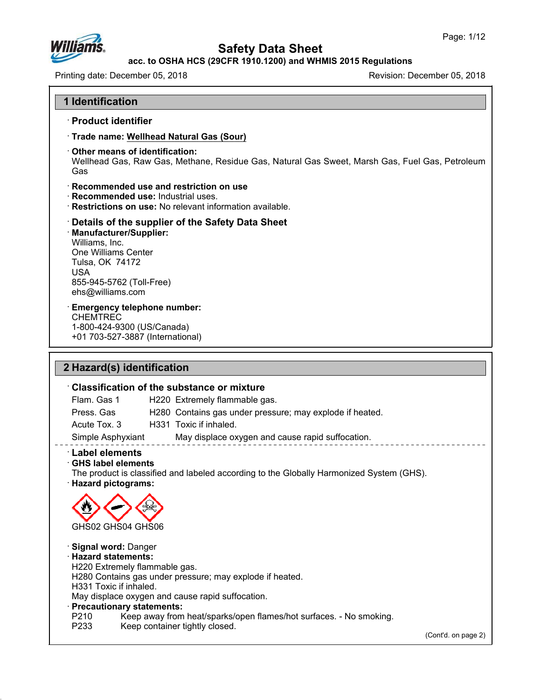

**acc. to OSHA HCS (29CFR 1910.1200) and WHMIS 2015 Regulations**

Printing date: December 05, 2018 Revision: December 05, 2018

#### **1 Identification**

### ꞏ **Product identifier**

- ꞏ **Trade name: Wellhead Natural Gas (Sour)**
- ꞏ **Other means of identification:**

Wellhead Gas, Raw Gas, Methane, Residue Gas, Natural Gas Sweet, Marsh Gas, Fuel Gas, Petroleum Gas

#### ꞏ **Recommended use and restriction on use**

- ꞏ **Recommended use:** Industrial uses.
- ꞏ **Restrictions on use:** No relevant information available.

#### ꞏ **Details of the supplier of the Safety Data Sheet** ꞏ **Manufacturer/Supplier:** Williams, Inc. One Williams Center Tulsa, OK 74172 USA 855-945-5762 (Toll-Free) ehs@williams.com

ꞏ **Emergency telephone number:**

CHEMTREC 1-800-424-9300 (US/Canada) +01 703-527-3887 (International)

### **2 Hazard(s) identification**

### ꞏ **Classification of the substance or mixture**

Flam. Gas 1 H220 Extremely flammable gas.

Press. Gas H280 Contains gas under pressure; may explode if heated.

Acute Tox. 3 H331 Toxic if inhaled.

Simple Asphyxiant May displace oxygen and cause rapid suffocation.

### ꞏ **Label elements**

ꞏ **GHS label elements** The product is classified and labeled according to the Globally Harmonized System (GHS). ꞏ **Hazard pictograms:**



### ꞏ **Signal word:** Danger

#### ꞏ **Hazard statements:**

H220 Extremely flammable gas.

H280 Contains gas under pressure; may explode if heated.

# H331 Toxic if inhaled.

May displace oxygen and cause rapid suffocation.

### ꞏ **Precautionary statements:**

- P210 Keep away from heat/sparks/open flames/hot surfaces. No smoking.<br>P233 Keep container tightly closed.
- Keep container tightly closed.

(Cont'd. on page 2)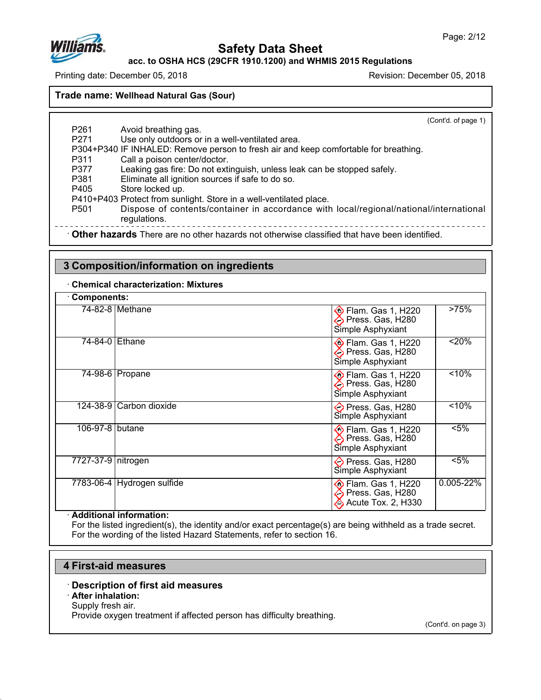

**acc. to OSHA HCS (29CFR 1910.1200) and WHMIS 2015 Regulations**

Printing date: December 05, 2018 Revision: December 05, 2018

### **Trade name: Wellhead Natural Gas (Sour)**

(Cont'd. of page 1)

- P261 Avoid breathing gas. P271 Use only outdoors or in a well-ventilated area.
- P304+P340 IF INHALED: Remove person to fresh air and keep comfortable for breathing.
- P311 Call a poison center/doctor.
- P377 Leaking gas fire: Do not extinguish, unless leak can be stopped safely.
- P381 Eliminate all ignition sources if safe to do so.
- P405 Store locked up.

P410+P403 Protect from sunlight. Store in a well-ventilated place.<br>P501 Dispose of contents/container in accordance with

Dispose of contents/container in accordance with local/regional/national/international regulations. 

**Other hazards** There are no other hazards not otherwise classified that have been identified.

### **3 Composition/information on ingredients**

ꞏ **Chemical characterization: Mixtures**

| <b>Components:</b>   |                            |                                                                         |           |
|----------------------|----------------------------|-------------------------------------------------------------------------|-----------|
|                      | 74-82-8 Methane            | $\otimes$ Flam. Gas 1, H220<br>← Press. Gas, H280<br>Simple Asphyxiant  | >75%      |
| 74-84-0 Ethane       |                            | <b>♦ Flam. Gas 1, H220</b><br>< Press. Gas, H280<br>Simple Asphyxiant   | < 20%     |
|                      | 74-98-6   Propane          | <b>♦ Flam. Gas 1, H220</b><br>← Press. Gas, H280<br>Simple Asphyxiant   | < 10%     |
|                      | 124-38-9 Carbon dioxide    | <b>←</b> Press. Gas, H280<br>Simple Asphyxiant                          | < 10%     |
| 106-97-8   butane    |                            | <b>♦ Flam. Gas 1, H220</b><br><>> Press. Gas, H280<br>Simple Asphyxiant | $< 5\%$   |
| 7727-37-9   nitrogen |                            | ← Press. Gas, H280<br>Simple Asphyxiant                                 | $< 5\%$   |
|                      | 7783-06-4 Hydrogen sulfide | <b>Elam. Gas 1, H220</b><br>iess. Gas, H280<br>Acute Tox. 2, H330       | 0.005-22% |

#### ꞏ **Additional information:**

For the listed ingredient(s), the identity and/or exact percentage(s) are being withheld as a trade secret. For the wording of the listed Hazard Statements, refer to section 16.

### **4 First-aid measures**

- ꞏ **Description of first aid measures**
- ꞏ **After inhalation:**
- Supply fresh air.

Provide oxygen treatment if affected person has difficulty breathing.

(Cont'd. on page 3)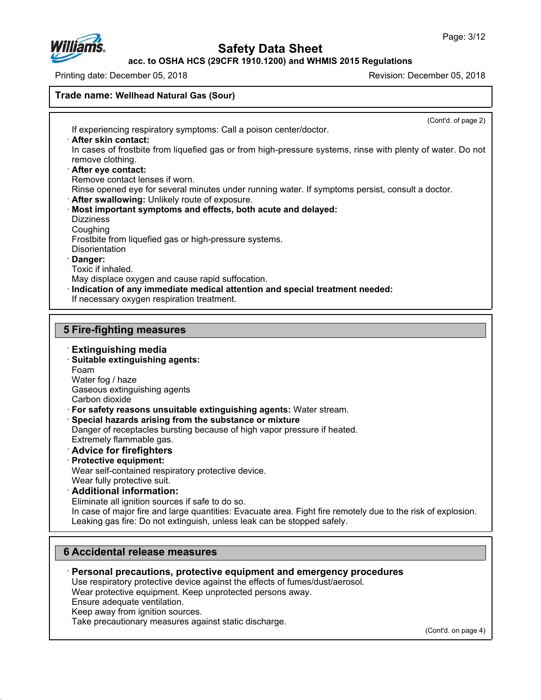

**acc. to OSHA HCS (29CFR 1910.1200) and WHMIS 2015 Regulations**

Printing date: December 05, 2018 Revision: December 05, 2018

### **Trade name: Wellhead Natural Gas (Sour)**

(Cont'd. of page 2) If experiencing respiratory symptoms: Call a poison center/doctor. ꞏ **After skin contact:** In cases of frostbite from liquefied gas or from high-pressure systems, rinse with plenty of water. Do not remove clothing. ꞏ **After eye contact:** Remove contact lenses if worn. Rinse opened eye for several minutes under running water. If symptoms persist, consult a doctor. ꞏ **After swallowing:** Unlikely route of exposure. ꞏ **Most important symptoms and effects, both acute and delayed: Dizziness** Coughing Frostbite from liquefied gas or high-pressure systems. **Disorientation** ꞏ **Danger:** Toxic if inhaled. May displace oxygen and cause rapid suffocation. ꞏ **Indication of any immediate medical attention and special treatment needed:** If necessary oxygen respiration treatment. **5 Fire-fighting measures** ꞏ **Extinguishing media** ꞏ **Suitable extinguishing agents:** Foam Water fog / haze Gaseous extinguishing agents Carbon dioxide ꞏ **For safety reasons unsuitable extinguishing agents:** Water stream. ꞏ **Special hazards arising from the substance or mixture** Danger of receptacles bursting because of high vapor pressure if heated. Extremely flammable gas. ꞏ **Advice for firefighters** ꞏ **Protective equipment:** Wear self-contained respiratory protective device. Wear fully protective suit. ꞏ **Additional information:** Eliminate all ignition sources if safe to do so. In case of major fire and large quantities: Evacuate area. Fight fire remotely due to the risk of explosion. Leaking gas fire: Do not extinguish, unless leak can be stopped safely.

### **6 Accidental release measures**

- ꞏ **Personal precautions, protective equipment and emergency procedures**
- Use respiratory protective device against the effects of fumes/dust/aerosol.
- Wear protective equipment. Keep unprotected persons away.
- Ensure adequate ventilation.
- Keep away from ignition sources.
- Take precautionary measures against static discharge.

(Cont'd. on page 4)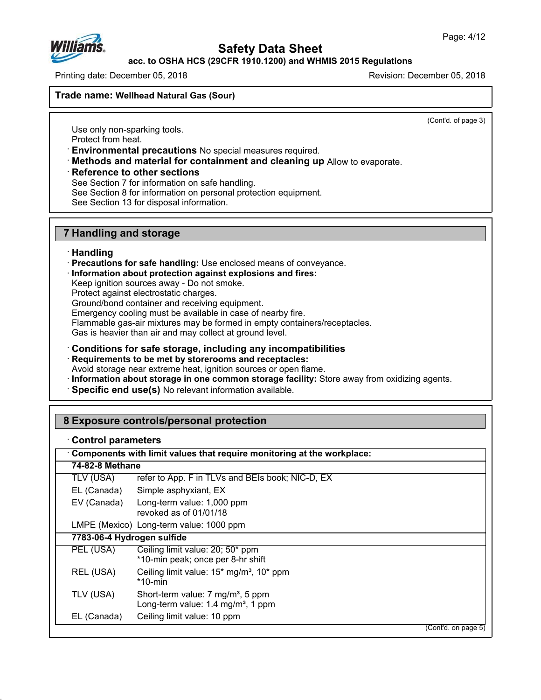

**acc. to OSHA HCS (29CFR 1910.1200) and WHMIS 2015 Regulations**

Printing date: December 05, 2018 Revision: December 05, 2018

**Trade name: Wellhead Natural Gas (Sour)**

(Cont'd. of page 3)

Use only non-sparking tools. Protect from heat.

ꞏ **Environmental precautions** No special measures required.

ꞏ **Methods and material for containment and cleaning up** Allow to evaporate.

ꞏ **Reference to other sections**

See Section 7 for information on safe handling.

See Section 8 for information on personal protection equipment.

See Section 13 for disposal information.

### **7 Handling and storage**

### ꞏ **Handling**

- ꞏ **Precautions for safe handling:** Use enclosed means of conveyance.
- ꞏ **Information about protection against explosions and fires:**

Keep ignition sources away - Do not smoke.

Protect against electrostatic charges.

Ground/bond container and receiving equipment.

Emergency cooling must be available in case of nearby fire.

Flammable gas-air mixtures may be formed in empty containers/receptacles.

Gas is heavier than air and may collect at ground level.

ꞏ **Conditions for safe storage, including any incompatibilities**

ꞏ **Requirements to be met by storerooms and receptacles:**

Avoid storage near extreme heat, ignition sources or open flame.

ꞏ **Information about storage in one common storage facility:** Store away from oxidizing agents.

ꞏ **Specific end use(s)** No relevant information available.

### **8 Exposure controls/personal protection**

### ꞏ **Control parameters**

| Components with limit values that require monitoring at the workplace: |                                                                                                 |  |  |
|------------------------------------------------------------------------|-------------------------------------------------------------------------------------------------|--|--|
| 74-82-8 Methane                                                        |                                                                                                 |  |  |
| TLV (USA)                                                              | refer to App. F in TLVs and BEIs book; NIC-D, EX                                                |  |  |
| EL (Canada)                                                            | Simple asphyxiant, EX                                                                           |  |  |
| EV (Canada)                                                            | Long-term value: 1,000 ppm<br>revoked as of 01/01/18                                            |  |  |
|                                                                        | LMPE (Mexico) Long-term value: 1000 ppm                                                         |  |  |
|                                                                        | 7783-06-4 Hydrogen sulfide                                                                      |  |  |
| PEL (USA)                                                              | Ceiling limit value: 20; 50* ppm<br>*10-min peak; once per 8-hr shift                           |  |  |
| REL (USA)                                                              | Ceiling limit value: 15 <sup>*</sup> mg/m <sup>3</sup> , 10 <sup>*</sup> ppm<br>$*10$ -min      |  |  |
| TLV (USA)                                                              | Short-term value: 7 mg/m <sup>3</sup> , 5 ppm<br>Long-term value: 1.4 mg/m <sup>3</sup> , 1 ppm |  |  |
| EL (Canada)                                                            | Ceiling limit value: 10 ppm                                                                     |  |  |
|                                                                        | (Cont'd. on page 5)                                                                             |  |  |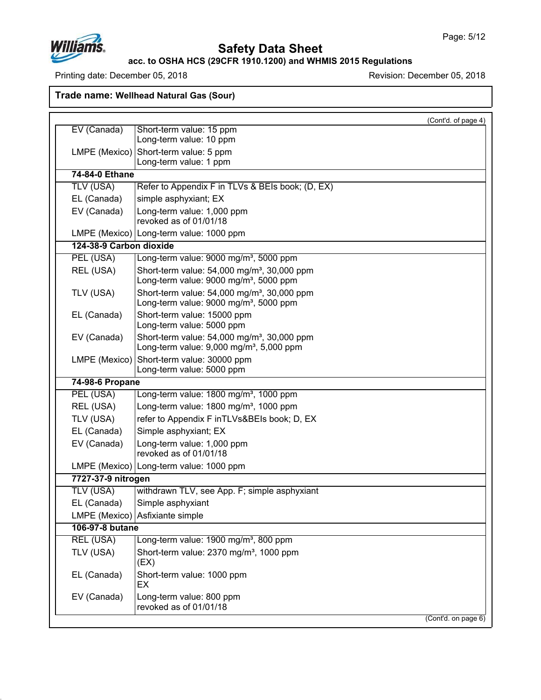

**acc. to OSHA HCS (29CFR 1910.1200) and WHMIS 2015 Regulations**

Printing date: December 05, 2018 **Printing date: December 05, 2018** 

**Trade name: Wellhead Natural Gas (Sour)**

|                         |                                                                                                                 | (Cont'd. of page 4) |  |
|-------------------------|-----------------------------------------------------------------------------------------------------------------|---------------------|--|
| EV (Canada)             | Short-term value: 15 ppm<br>Long-term value: 10 ppm                                                             |                     |  |
|                         | Short-term value: 5 ppm<br>LMPE (Mexico)                                                                        |                     |  |
|                         | Long-term value: 1 ppm                                                                                          |                     |  |
| 74-84-0 Ethane          |                                                                                                                 |                     |  |
| TLV (USA)               | Refer to Appendix F in TLVs & BEIs book; (D, EX)                                                                |                     |  |
| EL (Canada)             | simple asphyxiant; EX                                                                                           |                     |  |
| EV (Canada)             | Long-term value: 1,000 ppm                                                                                      |                     |  |
|                         | revoked as of 01/01/18                                                                                          |                     |  |
|                         | LMPE (Mexico)   Long-term value: 1000 ppm                                                                       |                     |  |
| 124-38-9 Carbon dioxide |                                                                                                                 |                     |  |
| PEL (USA)               | Long-term value: 9000 mg/m <sup>3</sup> , 5000 ppm                                                              |                     |  |
| REL (USA)               | Short-term value: $54,000$ mg/m <sup>3</sup> , 30,000 ppm<br>Long-term value: 9000 mg/m <sup>3</sup> , 5000 ppm |                     |  |
| TLV (USA)               | Short-term value: 54,000 mg/m <sup>3</sup> , 30,000 ppm<br>Long-term value: 9000 mg/m <sup>3</sup> , 5000 ppm   |                     |  |
| EL (Canada)             | Short-term value: 15000 ppm<br>Long-term value: 5000 ppm                                                        |                     |  |
| EV (Canada)             | Short-term value: 54,000 mg/m <sup>3</sup> , 30,000 ppm<br>Long-term value: 9,000 mg/m <sup>3</sup> , 5,000 ppm |                     |  |
| LMPE (Mexico)           | Short-term value: 30000 ppm<br>Long-term value: 5000 ppm                                                        |                     |  |
| 74-98-6 Propane         |                                                                                                                 |                     |  |
| PEL (USA)               | Long-term value: 1800 mg/m <sup>3</sup> , 1000 ppm                                                              |                     |  |
| REL (USA)               | Long-term value: 1800 mg/m <sup>3</sup> , 1000 ppm                                                              |                     |  |
| TLV (USA)               | refer to Appendix F inTLVs&BEIs book; D, EX                                                                     |                     |  |
| EL (Canada)             | Simple asphyxiant; EX                                                                                           |                     |  |
| EV (Canada)             | Long-term value: 1,000 ppm<br>revoked as of 01/01/18                                                            |                     |  |
|                         | LMPE (Mexico) Long-term value: 1000 ppm                                                                         |                     |  |
| 7727-37-9 nitrogen      |                                                                                                                 |                     |  |
| TLV (USA)               | withdrawn TLV, see App. F; simple asphyxiant                                                                    |                     |  |
| EL (Canada)             | Simple asphyxiant                                                                                               |                     |  |
|                         | LMPE (Mexico) Asfixiante simple                                                                                 |                     |  |
|                         | 106-97-8 butane                                                                                                 |                     |  |
| <b>REL (USA)</b>        | Long-term value: 1900 mg/m <sup>3</sup> , 800 ppm                                                               |                     |  |
| TLV (USA)               | Short-term value: 2370 mg/m <sup>3</sup> , 1000 ppm<br>(EX)                                                     |                     |  |
| EL (Canada)             | Short-term value: 1000 ppm<br>EX                                                                                |                     |  |
| EV (Canada)             | Long-term value: 800 ppm<br>revoked as of 01/01/18                                                              |                     |  |
|                         |                                                                                                                 | (Cont'd. on page 6) |  |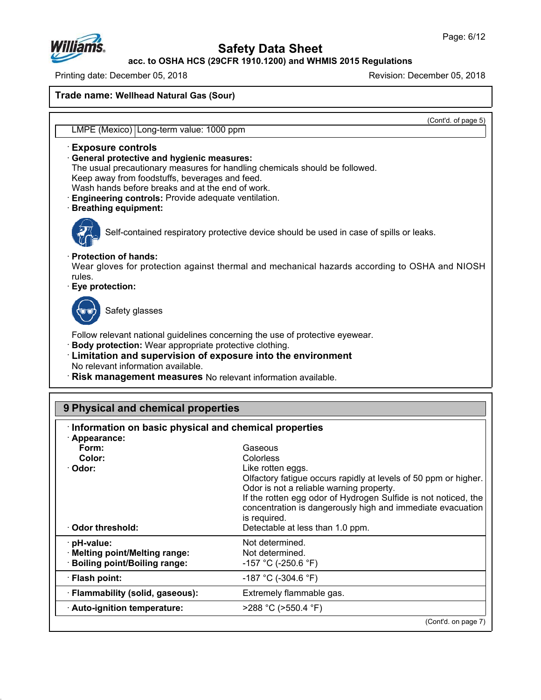

**acc. to OSHA HCS (29CFR 1910.1200) and WHMIS 2015 Regulations**

Printing date: December 05, 2018 Revision: December 05, 2018

**Trade name: Wellhead Natural Gas (Sour)**

(Cont'd. of page 5)

LMPE (Mexico) Long-term value: 1000 ppm

### ꞏ **Exposure controls**

### ꞏ **General protective and hygienic measures:**

The usual precautionary measures for handling chemicals should be followed.

Keep away from foodstuffs, beverages and feed.

Wash hands before breaks and at the end of work.

ꞏ **Engineering controls:** Provide adequate ventilation.

#### ꞏ **Breathing equipment:**



Self-contained respiratory protective device should be used in case of spills or leaks.

#### ꞏ **Protection of hands:**

Wear gloves for protection against thermal and mechanical hazards according to OSHA and NIOSH rules.

### ꞏ **Eye protection:**



Safety glasses

Follow relevant national guidelines concerning the use of protective eyewear.

- ꞏ **Body protection:** Wear appropriate protective clothing.
- ꞏ **Limitation and supervision of exposure into the environment** No relevant information available.
- ꞏ **Risk management measures** No relevant information available.

| 9 Physical and chemical properties                    |                                                                 |  |  |
|-------------------------------------------------------|-----------------------------------------------------------------|--|--|
| Information on basic physical and chemical properties |                                                                 |  |  |
| · Appearance:                                         |                                                                 |  |  |
| Form:                                                 | Gaseous                                                         |  |  |
| Color:                                                | Colorless                                                       |  |  |
| Odor:                                                 | Like rotten eggs.                                               |  |  |
|                                                       | Olfactory fatigue occurs rapidly at levels of 50 ppm or higher. |  |  |
|                                                       | Odor is not a reliable warning property.                        |  |  |
|                                                       | If the rotten egg odor of Hydrogen Sulfide is not noticed, the  |  |  |
|                                                       | concentration is dangerously high and immediate evacuation      |  |  |
|                                                       | is required.                                                    |  |  |
| Odor threshold:                                       | Detectable at less than 1.0 ppm.                                |  |  |
| pH-value:                                             | Not determined.                                                 |  |  |
| <b>Melting point/Melting range:</b>                   | Not determined.                                                 |  |  |
| <b>Boiling point/Boiling range:</b>                   | -157 °C (-250.6 °F)                                             |  |  |
| · Flash point:                                        | -187 °C (-304.6 °F)                                             |  |  |
| · Flammability (solid, gaseous):                      | Extremely flammable gas.                                        |  |  |
| · Auto-ignition temperature:                          | $>288$ °C ( $>550.4$ °F)                                        |  |  |
|                                                       | (Cont'd. on page 7)                                             |  |  |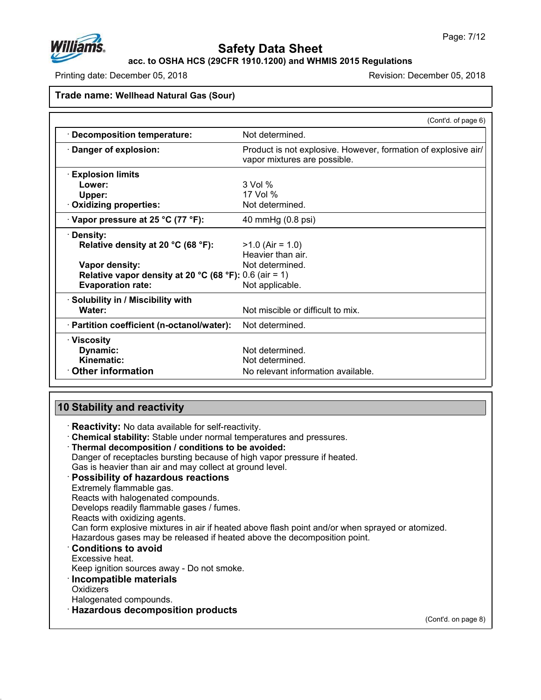

**acc. to OSHA HCS (29CFR 1910.1200) and WHMIS 2015 Regulations**

Printing date: December 05, 2018 Revision: December 05, 2018

#### **Trade name: Wellhead Natural Gas (Sour)**

|                                                        | (Cont'd. of page 6)                                                                            |
|--------------------------------------------------------|------------------------------------------------------------------------------------------------|
| <b>Decomposition temperature:</b>                      | Not determined.                                                                                |
| Danger of explosion:                                   | Product is not explosive. However, formation of explosive air/<br>vapor mixtures are possible. |
| <b>Explosion limits</b>                                |                                                                                                |
| Lower:                                                 | $3$ Vol $%$                                                                                    |
| Upper:                                                 | 17 Vol %                                                                                       |
| Oxidizing properties:                                  | Not determined.                                                                                |
| $\cdot$ Vapor pressure at 25 °C (77 °F):               | 40 mmHg (0.8 psi)                                                                              |
| Density:                                               |                                                                                                |
| Relative density at 20 °C (68 °F):                     | $>1.0$ (Air = 1.0)                                                                             |
|                                                        | Heavier than air.                                                                              |
| Vapor density:                                         | Not determined.                                                                                |
| Relative vapor density at 20 °C (68 °F): 0.6 (air = 1) |                                                                                                |
| <b>Evaporation rate:</b>                               | Not applicable.                                                                                |
| · Solubility in / Miscibility with                     |                                                                                                |
| Water:                                                 | Not miscible or difficult to mix.                                                              |
| · Partition coefficient (n-octanol/water):             | Not determined.                                                                                |
| · Viscosity                                            |                                                                                                |
| Dynamic:                                               | Not determined.                                                                                |
| Kinematic:                                             | Not determined.                                                                                |
| <b>Other information</b>                               | No relevant information available.                                                             |

### **10 Stability and reactivity**

ꞏ **Reactivity:** No data available for self-reactivity.

ꞏ **Chemical stability:** Stable under normal temperatures and pressures.

### ꞏ **Thermal decomposition / conditions to be avoided:**

Danger of receptacles bursting because of high vapor pressure if heated.

Gas is heavier than air and may collect at ground level.

### ꞏ **Possibility of hazardous reactions**

Extremely flammable gas.

Reacts with halogenated compounds.

Develops readily flammable gases / fumes.

Reacts with oxidizing agents.

Can form explosive mixtures in air if heated above flash point and/or when sprayed or atomized.

Hazardous gases may be released if heated above the decomposition point.

ꞏ **Conditions to avoid**

Excessive heat.

Keep ignition sources away - Do not smoke.

ꞏ **Incompatible materials**

**Oxidizers** 

Halogenated compounds.

### ꞏ **Hazardous decomposition products**

(Cont'd. on page 8)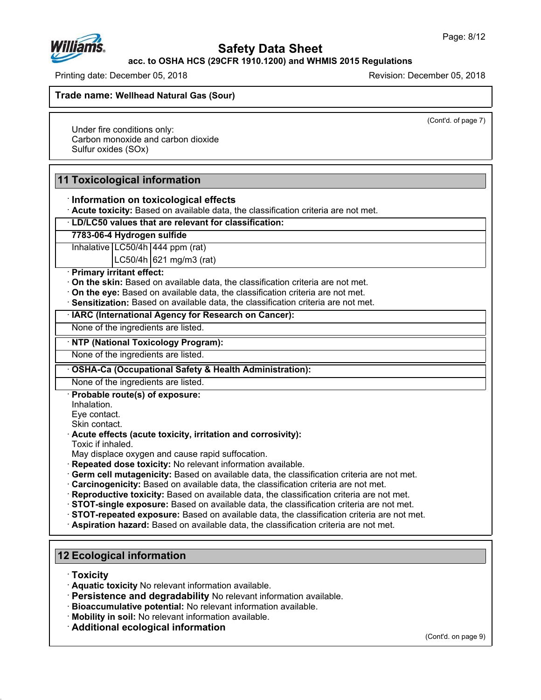

**acc. to OSHA HCS (29CFR 1910.1200) and WHMIS 2015 Regulations**

Printing date: December 05, 2018 Revision: December 05, 2018

**Trade name: Wellhead Natural Gas (Sour)**

(Cont'd. of page 7)

Under fire conditions only: Carbon monoxide and carbon dioxide Sulfur oxides (SOx)

# **11 Toxicological information**

### ꞏ **Information on toxicological effects**

ꞏ **Acute toxicity:** Based on available data, the classification criteria are not met.

ꞏ **LD/LC50 values that are relevant for classification:**

### **7783-06-4 Hydrogen sulfide**

Inhalative LC50/4h 444 ppm (rat)

 $LC$ 50/4h  $621$  mg/m3 (rat)

#### ꞏ **Primary irritant effect:**

ꞏ **On the skin:** Based on available data, the classification criteria are not met.

- ꞏ **On the eye:** Based on available data, the classification criteria are not met.
- ꞏ **Sensitization:** Based on available data, the classification criteria are not met.

#### ꞏ **IARC (International Agency for Research on Cancer):**

None of the ingredients are listed.

#### ꞏ **NTP (National Toxicology Program):**

None of the ingredients are listed.

### ꞏ **OSHA-Ca (Occupational Safety & Health Administration):**

None of the ingredients are listed.

#### ꞏ **Probable route(s) of exposure:**

Inhalation.

Eye contact.

Skin contact.

### ꞏ **Acute effects (acute toxicity, irritation and corrosivity):**

Toxic if inhaled.

May displace oxygen and cause rapid suffocation.

ꞏ **Repeated dose toxicity:** No relevant information available.

- ꞏ **Germ cell mutagenicity:** Based on available data, the classification criteria are not met.
- ꞏ **Carcinogenicity:** Based on available data, the classification criteria are not met.
- ꞏ **Reproductive toxicity:** Based on available data, the classification criteria are not met.
- ꞏ **STOT-single exposure:** Based on available data, the classification criteria are not met.
- ꞏ **STOT-repeated exposure:** Based on available data, the classification criteria are not met.
- ꞏ **Aspiration hazard:** Based on available data, the classification criteria are not met.

### **12 Ecological information**

ꞏ **Toxicity**

- ꞏ **Aquatic toxicity** No relevant information available.
- ꞏ **Persistence and degradability** No relevant information available.
- ꞏ **Bioaccumulative potential:** No relevant information available.
- ꞏ **Mobility in soil:** No relevant information available.
- ꞏ **Additional ecological information**

(Cont'd. on page 9)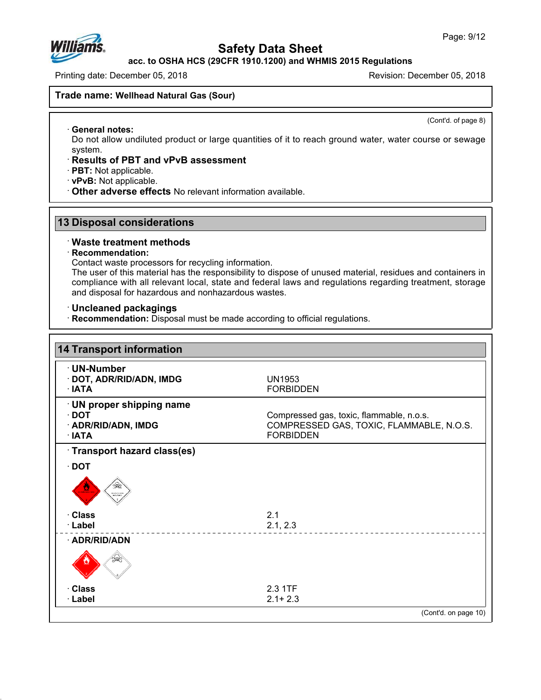

**acc. to OSHA HCS (29CFR 1910.1200) and WHMIS 2015 Regulations**

Printing date: December 05, 2018 Revision: December 05, 2018

### **Trade name: Wellhead Natural Gas (Sour)**

(Cont'd. of page 8)

ꞏ **General notes:** Do not allow undiluted product or large quantities of it to reach ground water, water course or sewage system.

### ꞏ **Results of PBT and vPvB assessment**

ꞏ **PBT:** Not applicable.

ꞏ **vPvB:** Not applicable.

ꞏ **Other adverse effects** No relevant information available.

### **13 Disposal considerations**

#### ꞏ **Waste treatment methods**

#### ꞏ **Recommendation:**

Contact waste processors for recycling information.

The user of this material has the responsibility to dispose of unused material, residues and containers in compliance with all relevant local, state and federal laws and regulations regarding treatment, storage and disposal for hazardous and nonhazardous wastes.

### ꞏ **Uncleaned packagings**

ꞏ **Recommendation:** Disposal must be made according to official regulations.

| <b>14 Transport information</b>                                                 |                                                                                                          |
|---------------------------------------------------------------------------------|----------------------------------------------------------------------------------------------------------|
| · UN-Number<br>· DOT, ADR/RID/ADN, IMDG<br>∴IATA                                | UN1953<br><b>FORBIDDEN</b>                                                                               |
| · UN proper shipping name<br>$\cdot$ DOT<br>· ADR/RID/ADN, IMDG<br>$\cdot$ IATA | Compressed gas, toxic, flammable, n.o.s.<br>COMPRESSED GAS, TOXIC, FLAMMABLE, N.O.S.<br><b>FORBIDDEN</b> |
| · Transport hazard class(es)                                                    |                                                                                                          |
| $\cdot$ DOT                                                                     |                                                                                                          |
| da⊵<br><b>ENAIO</b>                                                             |                                                                                                          |
| · Class                                                                         | 2.1                                                                                                      |
| · Label                                                                         | 2.1, 2.3                                                                                                 |
| · ADR/RID/ADN                                                                   |                                                                                                          |
|                                                                                 |                                                                                                          |
| · Class                                                                         | 2.3 1TF                                                                                                  |
| · Label                                                                         | $2.1 + 2.3$                                                                                              |
|                                                                                 | (Cont'd. on page 10)                                                                                     |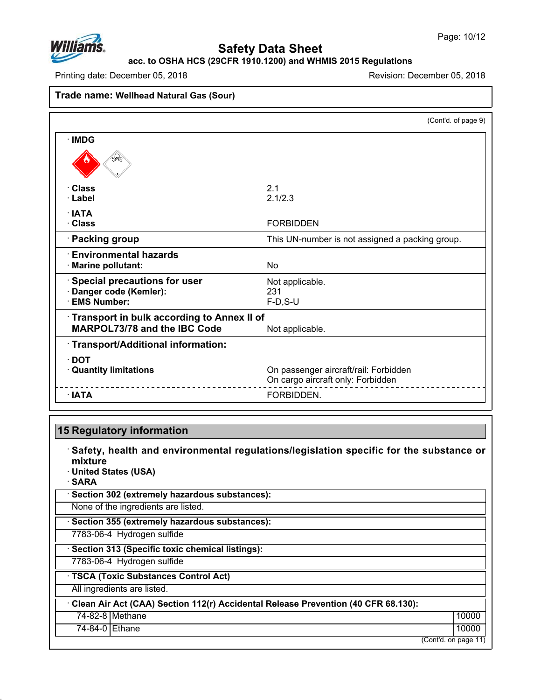

**acc. to OSHA HCS (29CFR 1910.1200) and WHMIS 2015 Regulations**

Printing date: December 05, 2018 Revision: December 05, 2018

# **Trade name: Wellhead Natural Gas (Sour)**

|                                            | (Cont'd. of page 9)                             |
|--------------------------------------------|-------------------------------------------------|
| · IMDG                                     |                                                 |
|                                            |                                                 |
| · Class                                    | 2.1                                             |
| · Label                                    | 2.1/2.3                                         |
| $\cdot$ IATA                               |                                                 |
| · Class                                    | <b>FORBIDDEN</b>                                |
| · Packing group                            | This UN-number is not assigned a packing group. |
| $\cdot$ Environmental hazards              |                                                 |
| · Marine pollutant:                        | No                                              |
| <b>Special precautions for user</b>        | Not applicable.                                 |
| Danger code (Kemler):                      | 231                                             |
| <b>EMS Number:</b>                         | $F-D, S-U$                                      |
| Transport in bulk according to Annex II of |                                                 |
| <b>MARPOL73/78 and the IBC Code</b>        | Not applicable.                                 |
| Transport/Additional information:          |                                                 |
| ∙ DOT                                      |                                                 |
| <b>Quantity limitations</b>                | On passenger aircraft/rail: Forbidden           |
|                                            | On cargo aircraft only: Forbidden               |
| $\cdot$ IATA                               | FORBIDDEN.                                      |

# **15 Regulatory information**

ꞏ **Safety, health and environmental regulations/legislation specific for the substance or mixture** ꞏ **United States (USA)** ꞏ **SARA** ꞏ **Section 302 (extremely hazardous substances):** None of the ingredients are listed. ꞏ **Section 355 (extremely hazardous substances):** 7783-06-4 Hydrogen sulfide ꞏ **Section 313 (Specific toxic chemical listings):** 7783-06-4 Hydrogen sulfide ꞏ **TSCA (Toxic Substances Control Act)** All ingredients are listed. ꞏ **Clean Air Act (CAA) Section 112(r) Accidental Release Prevention (40 CFR 68.130):** 74-82-8 Methane 10000 | 10000 | 10000 | 10000 | 10000 | 10000 | 10000 | 10000 | 10000 | 10000 | 10000 | 10000 74-84-0 Ethane 10000 | 10000 | 10000 | 10000 | 10000 | 10000 | 10000 | 10000 | 10000 | 10000 | 10000 | 10000 | (Cont'd. on page 11)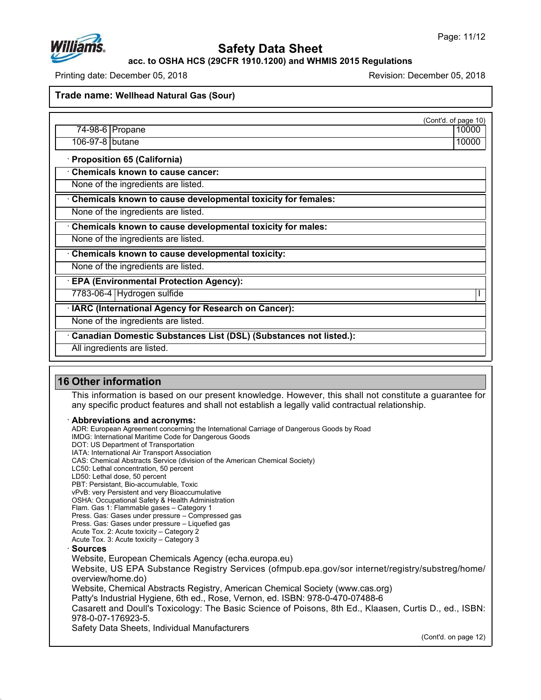

**acc. to OSHA HCS (29CFR 1910.1200) and WHMIS 2015 Regulations**

Printing date: December 05, 2018 Revision: December 05, 2018

**Trade name: Wellhead Natural Gas (Sour)**

(Cont'd. of page 10)

74-98-6 Propane 10000 | 10000 | 10000 | 10000 | 10000 | 10000 | 10000 | 10000 | 10000 | 10000 | 10000 | 10000 106-97-8 butane 10000

ꞏ **Proposition 65 (California)**

ꞏ **Chemicals known to cause cancer:**

None of the ingredients are listed.

ꞏ **Chemicals known to cause developmental toxicity for females:**

None of the ingredients are listed.

ꞏ **Chemicals known to cause developmental toxicity for males:**

None of the ingredients are listed.

ꞏ **Chemicals known to cause developmental toxicity:**

None of the ingredients are listed.

ꞏ **EPA (Environmental Protection Agency):**

7783-06-4 Hydrogen sulfide I

ꞏ **IARC (International Agency for Research on Cancer):**

None of the ingredients are listed.

ꞏ **Canadian Domestic Substances List (DSL) (Substances not listed.):**

All ingredients are listed.

# **16 Other information**

This information is based on our present knowledge. However, this shall not constitute a guarantee for any specific product features and shall not establish a legally valid contractual relationship.

ꞏ **Abbreviations and acronyms:**

ADR: European Agreement concerning the International Carriage of Dangerous Goods by Road IMDG: International Maritime Code for Dangerous Goods DOT: US Department of Transportation IATA: International Air Transport Association CAS: Chemical Abstracts Service (division of the American Chemical Society) LC50: Lethal concentration, 50 percent LD50: Lethal dose, 50 percent PBT: Persistant, Bio-accumulable, Toxic vPvB: very Persistent and very Bioaccumulative OSHA: Occupational Safety & Health Administration Flam. Gas 1: Flammable gases – Category 1 Press. Gas: Gases under pressure – Compressed gas Press. Gas: Gases under pressure – Liquefied gas Acute Tox. 2: Acute toxicity – Category 2 Acute Tox. 3: Acute toxicity – Category 3 ꞏ **Sources** Website, European Chemicals Agency (echa.europa.eu) Website, US EPA Substance Registry Services (ofmpub.epa.gov/sor internet/registry/substreg/home/ overview/home.do) Website, Chemical Abstracts Registry, American Chemical Society (www.cas.org) Patty's Industrial Hygiene, 6th ed., Rose, Vernon, ed. ISBN: 978-0-470-07488-6 Casarett and Doull's Toxicology: The Basic Science of Poisons, 8th Ed., Klaasen, Curtis D., ed., ISBN: 978-0-07-176923-5. Safety Data Sheets, Individual Manufacturers

(Cont'd. on page 12)